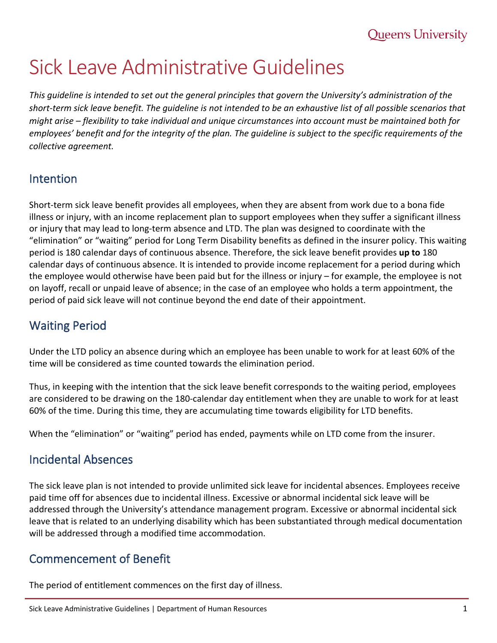# Sick Leave Administrative Guidelines

*This guideline is intended to set out the general principles that govern the University's administration of the short-term sick leave benefit. The guideline is not intended to be an exhaustive list of all possible scenarios that might arise – flexibility to take individual and unique circumstances into account must be maintained both for employees' benefit and for the integrity of the plan. The guideline is subject to the specific requirements of the collective agreement.*

#### Intention

Short-term sick leave benefit provides all employees, when they are absent from work due to a bona fide illness or injury, with an income replacement plan to support employees when they suffer a significant illness or injury that may lead to long-term absence and LTD. The plan was designed to coordinate with the "elimination" or "waiting" period for Long Term Disability benefits as defined in the insurer policy. This waiting period is 180 calendar days of continuous absence. Therefore, the sick leave benefit provides **up to** 180 calendar days of continuous absence. It is intended to provide income replacement for a period during which the employee would otherwise have been paid but for the illness or injury – for example, the employee is not on layoff, recall or unpaid leave of absence; in the case of an employee who holds a term appointment, the period of paid sick leave will not continue beyond the end date of their appointment.

## Waiting Period

Under the LTD policy an absence during which an employee has been unable to work for at least 60% of the time will be considered as time counted towards the elimination period.

Thus, in keeping with the intention that the sick leave benefit corresponds to the waiting period, employees are considered to be drawing on the 180-calendar day entitlement when they are unable to work for at least 60% of the time. During this time, they are accumulating time towards eligibility for LTD benefits.

When the "elimination" or "waiting" period has ended, payments while on LTD come from the insurer.

## Incidental Absences

The sick leave plan is not intended to provide unlimited sick leave for incidental absences. Employees receive paid time off for absences due to incidental illness. Excessive or abnormal incidental sick leave will be addressed through the University's attendance management program. Excessive or abnormal incidental sick leave that is related to an underlying disability which has been substantiated through medical documentation will be addressed through a modified time accommodation.

## Commencement of Benefit

The period of entitlement commences on the first day of illness.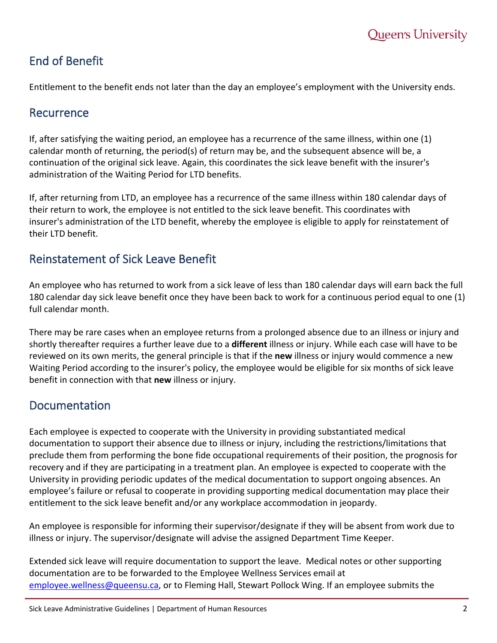# End of Benefit

Entitlement to the benefit ends not later than the day an employee's employment with the University ends.

#### **Recurrence**

If, after satisfying the waiting period, an employee has a recurrence of the same illness, within one (1) calendar month of returning, the period(s) of return may be, and the subsequent absence will be, a continuation of the original sick leave. Again, this coordinates the sick leave benefit with the insurer's administration of the Waiting Period for LTD benefits.

If, after returning from LTD, an employee has a recurrence of the same illness within 180 calendar days of their return to work, the employee is not entitled to the sick leave benefit. This coordinates with insurer's administration of the LTD benefit, whereby the employee is eligible to apply for reinstatement of their LTD benefit.

## Reinstatement of Sick Leave Benefit

An employee who has returned to work from a sick leave of less than 180 calendar days will earn back the full 180 calendar day sick leave benefit once they have been back to work for a continuous period equal to one (1) full calendar month.

There may be rare cases when an employee returns from a prolonged absence due to an illness or injury and shortly thereafter requires a further leave due to a **different** illness or injury. While each case will have to be reviewed on its own merits, the general principle is that if the **new** illness or injury would commence a new Waiting Period according to the insurer's policy, the employee would be eligible for six months of sick leave benefit in connection with that **new** illness or injury.

## Documentation

Each employee is expected to cooperate with the University in providing substantiated medical documentation to support their absence due to illness or injury, including the restrictions/limitations that preclude them from performing the bone fide occupational requirements of their position, the prognosis for recovery and if they are participating in a treatment plan. An employee is expected to cooperate with the University in providing periodic updates of the medical documentation to support ongoing absences. An employee's failure or refusal to cooperate in providing supporting medical documentation may place their entitlement to the sick leave benefit and/or any workplace accommodation in jeopardy.

An employee is responsible for informing their supervisor/designate if they will be absent from work due to illness or injury. The supervisor/designate will advise the assigned Department Time Keeper.

Extended sick leave will require documentation to support the leave. Medical notes or other supporting documentation are to be forwarded to the Employee Wellness Services email at [employee.wellness@queensu.ca,](mailto:employee.wellness@queensu.ca) or to Fleming Hall, Stewart Pollock Wing. If an employee submits the